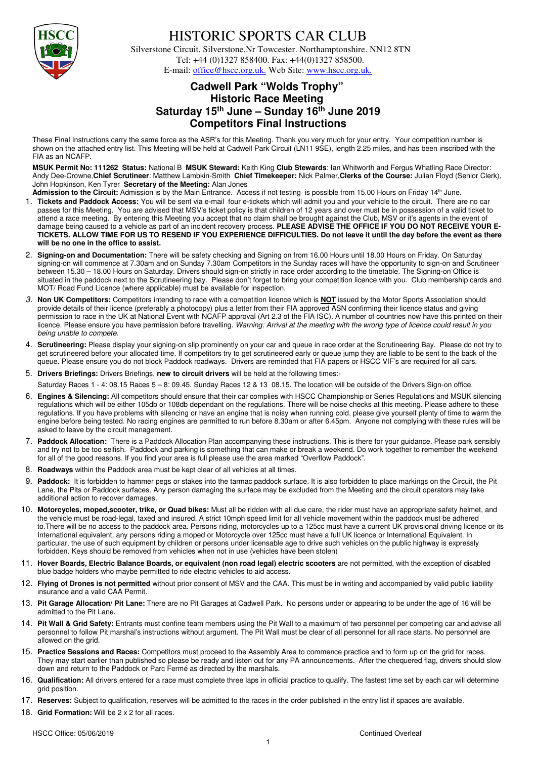

## HISTORIC SPORTS CAR CLUB

 Silverstone Circuit. Silverstone.Nr Towcester. Northamptonshire. NN12 8TN Tel: +44 (0)1327 858400. Fax: +44(0)1327 858500. E-mail: office@hscc.org.uk. Web Site: www.hscc.org.uk.

## **Cadwell Park "Wolds Trophy" Historic Race Meeting Saturday 15th June – Sunday 16th June 2019 Competitors Final Instructions**

These Final Instructions carry the same force as the ASR's for this Meeting. Thank you very much for your entry. Your competition number is shown on the attached entry list. This Meeting will be held at Cadwell Park Circuit (LN11 9SE), length 2.25 miles, and has been inscribed with the FIA as an NCAFP.

**MSUK Permit No: 111262 Status:** National B **MSUK Steward:** Keith King **Club Stewards**: Ian Whitworth and Fergus Whatling Race Director: Andy Dee-Crowne,**Chief Scrutineer**: Matthew Lambkin-Smith **Chief Timekeeper:** Nick Palmer,**Clerks of the Course:** Julian Floyd (Senior Clerk), John Hopkinson, Ken Tyrer **Secretary of the Meeting:** Alan Jones

- Admission to the Circuit: Admission is by the Main Entrance. Access if not testing is possible from 15.00 Hours on Friday 14<sup>th</sup> June. 1. **Tickets and Paddock Access:** You will be sent via e-mail four e-tickets which will admit you and your vehicle to the circuit. There are no car passes for this Meeting. You are advised that MSV's ticket policy is that children of 12 years and over must be in possession of a valid ticket to attend a race meeting. By entering this Meeting you accept that no claim shall be brought against the Club, MSV or it's agents in the event of damage being caused to a vehicle as part of an incident recovery process. **PLEASE ADVISE THE OFFICE IF YOU DO NOT RECEIVE YOUR E-TICKETS. ALLOW TIME FOR US TO RESEND IF YOU EXPERIENCE DIFFICULTIES. Do not leave it until the day before the event as there will be no one in the office to assist.**
- 2. **Signing-on and Documentation:** There will be safety checking and Signing on from 16.00 Hours until 18.00 Hours on Friday. On Saturday signing-on will commence at 7.30am and on Sunday 7.30am Competitors in the Sunday races will have the opportunity to sign-on and Scrutineer between 15.30 – 18.00 Hours on Saturday. Drivers should sign-on strictly in race order according to the timetable. The Signing-on Office is situated in the paddock next to the Scrutineering bay. Please don't forget to bring your competition licence with you. Club membership cards and MOT/ Road Fund Licence (where applicable) must be available for inspection.
- *3.* **Non UK Competitors:** Competitors intending to race with a competition licence which is **NOT** issued by the Motor Sports Association should provide details of their licence (preferably a photocopy) plus a letter from their FIA approved ASN confirming their licence status and giving permission to race in the UK at National Event with NCAFP approval (Art 2.3 of the FIA ISC). A number of countries now have this printed on their licence. Please ensure you have permission before travelling. *Warning: Arrival at the meeting with the wrong type of licence could result in you being unable to compete.*
- 4. **Scrutineering:** Please display your signing-on slip prominently on your car and queue in race order at the Scrutineering Bay. Please do not try to get scrutineered before your allocated time. If competitors try to get scrutineered early or queue jump they are liable to be sent to the back of the queue. Please ensure you do not block Paddock roadways. Drivers are reminded that FIA papers or HSCC VIF's are required for all cars.
- 5. **Drivers Briefings:** Drivers Briefings, **new to circuit drivers** will be held at the following times:-

Saturday Races 1 - 4: 08.15 Races 5 – 8: 09.45. Sunday Races 12 & 13 08.15. The location will be outside of the Drivers Sign-on office.

- 6. **Engines & Silencing:** All competitors should ensure that their car complies with HSCC Championship or Series Regulations and MSUK silencing regulations which will be either 105db or 108db dependant on the regulations. There will be noise checks at this meeting. Please adhere to these regulations. If you have problems with silencing or have an engine that is noisy when running cold, please give yourself plenty of time to warm the engine before being tested. No racing engines are permitted to run before 8.30am or after 6.45pm. Anyone not complying with these rules will be asked to leave by the circuit management.
- 7. **Paddock Allocation:** There is a Paddock Allocation Plan accompanying these instructions. This is there for your guidance. Please park sensibly and try not to be too selfish. Paddock and parking is something that can make or break a weekend. Do work together to remember the weekend for all of the good reasons. If you find your area is full please use the area marked "Overflow Paddock".
- 8. **Roadways** within the Paddock area must be kept clear of all vehicles at all times.
- 9. **Paddock:** It is forbidden to hammer pegs or stakes into the tarmac paddock surface. It is also forbidden to place markings on the Circuit, the Pit Lane, the Pits or Paddock surfaces. Any person damaging the surface may be excluded from the Meeting and the circuit operators may take additional action to recover damages.
- 10. **Motorcycles, moped,scooter, trike, or Quad bikes:** Must all be ridden with all due care, the rider must have an appropriate safety helmet, and the vehicle must be road-legal, taxed and insured. A strict 10mph speed limit for all vehicle movement within the paddock must be adhered to.There will be no access to the paddock area. Persons riding, motorcycles up to a 125cc must have a current UK provisional driving licence or its International equivalent, any persons riding a moped or Motorcycle over 125cc must have a full UK licence or International Equivalent. In particular, the use of such equipment by children or persons under licensable age to drive such vehicles on the public highway is expressly forbidden. Keys should be removed from vehicles when not in use (vehicles have been stolen)
- 11. **Hover Boards, Electric Balance Boards, or equivalent (non road legal) electric scooters** are not permitted, with the exception of disabled blue badge holders who maybe permitted to ride electric vehicles to aid access.
- 12. **Flying of Drones is not permitted** without prior consent of MSV and the CAA. This must be in writing and accompanied by valid public liability insurance and a valid CAA Permit.
- 13. **Pit Garage Allocation/ Pit Lane:** There are no Pit Garages at Cadwell Park. No persons under or appearing to be under the age of 16 will be admitted to the Pit Lane.
- 14. **Pit Wall & Grid Safety:** Entrants must confine team members using the Pit Wall to a maximum of two personnel per competing car and advise all personnel to follow Pit marshal's instructions without argument. The Pit Wall must be clear of all personnel for all race starts. No personnel are allowed on the grid.
- 15. **Practice Sessions and Races:** Competitors must proceed to the Assembly Area to commence practice and to form up on the grid for races. They may start earlier than published so please be ready and listen out for any PA announcements. After the chequered flag, drivers should slow down and return to the Paddock or Parc Fermé as directed by the marshals.
- 16. **Qualification:** All drivers entered for a race must complete three laps in official practice to qualify. The fastest time set by each car will determine grid position.
- 17. **Reserves:** Subject to qualification, reserves will be admitted to the races in the order published in the entry list if spaces are available.
- 18. **Grid Formation:** Will be 2 x 2 for all races.